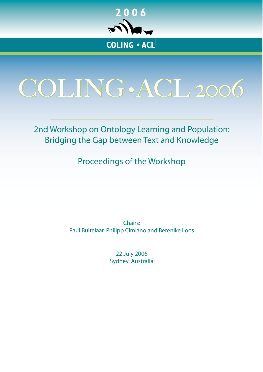

<span id="page-0-0"></span>

2nd Workshop on Ontology Learning and Population: Bridging the Gap between Text and Knowledge

Proceedings of the Workshop

Chairs: Paul Buitelaar, Philipp Cimiano and Berenike Loos

> 22 July 2006 Sydney, Australia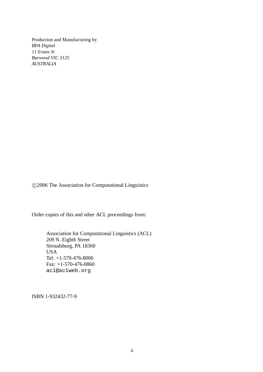Production and Manufacturing by *BPA Digital 11 Evans St Burwood VIC 3125 AUSTRALIA*

c 2006 The Association for Computational Linguistics

Order copies of this and other ACL proceedings from:

Association for Computational Linguistics (ACL) 209 N. Eighth Street Stroudsburg, PA 18360 USA Tel: +1-570-476-8006 Fax: +1-570-476-0860 acl@aclweb.org

ISBN 1-932432-77-9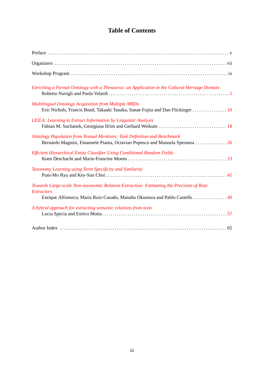# **Table of Contents**

| Enriching a Formal Ontology with a Thesaurus: an Application in the Cultural Heritage Domain                                                                                                |
|---------------------------------------------------------------------------------------------------------------------------------------------------------------------------------------------|
| <b>Multilingual Ontology Acquisition from Multiple MRDs</b><br>Eric Nichols, Francis Bond, Takaaki Tanaka, Sanae Fujita and Dan Flickinger  10                                              |
| LEILA: Learning to Extract Information by Linguistic Analysis                                                                                                                               |
| <b>Ontology Population from Textual Mentions: Task Definition and Benchmark</b><br>Bernardo Magnini, Emanuele Pianta, Octavian Popescu and Manuela Speranza  26                             |
| Efficient Hierarchical Entity Classifier Using Conditional Random Fields                                                                                                                    |
| Taxonomy Learning using Term Specificity and Similarity                                                                                                                                     |
| Towards Large-scale Non-taxonomic Relation Extraction: Estimating the Precision of Rote<br><b>Extractors</b><br>Enrique Alfonseca, Maria Ruiz-Casado, Manabu Okumura and Pablo Castells  49 |
| A hybrid approach for extracting semantic relations from texts                                                                                                                              |
|                                                                                                                                                                                             |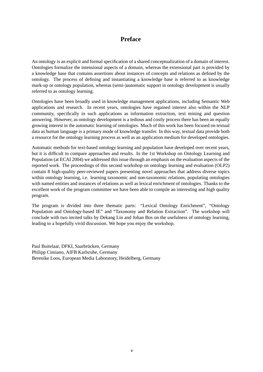## **Preface**

An ontology is an explicit and formal specification of a shared conceptualization of a domain of interest. Ontologies formalize the intensional aspects of a domain, whereas the extensional part is provided by a knowledge base that contains assertions about instances of concepts and relations as defined by the ontology. The process of defining and instantiating a knowledge base is referred to as knowledge mark-up or ontology population, whereas (semi-)automatic support in ontology development is usually referred to as ontology learning.

Ontologies have been broadly used in knowledge management applications, including Semantic Web applications and research. In recent years, ontologies have regained interest also within the NLP community, specifically in such applications as information extraction, text mining and question answering. However, as ontology development is a tedious and costly process there has been an equally growing interest in the automatic learning of ontologies. Much of this work has been focused on textual data as human language is a primary mode of knowledge transfer. In this way, textual data provide both a resource for the ontology learning process as well as an application medium for developed ontologies.

Automatic methods for text-based ontology learning and population have developed over recent years, but it is difficult to compare approaches and results. In the 1st Workshop on Ontology Learning and Population (at ECAI 2004) we addressed this issue through an emphasis on the evaluation aspects of the reported work. The proceedings of this second workshop on ontology learning and evaluation (OLP2) contain 8 high-quality peer-reviewed papers presenting novel approaches that address diverse topics within ontology learning, i.e. learning taxonomic and non-taxonomic relations, populating ontologies with named entities and instances of relations as well as lexical enrichment of ontologies. Thanks to the excellent work of the program committee we have been able to compile an interesting and high quality program.

The program is divided into three thematic parts: "Lexical Ontology Enrichment", "Ontology Population and Ontology-based IE" and "Taxonomy and Relation Extraction". The workshop will conclude with two invited talks by Dekang Lin and Johan Bos on the usefulness of ontology learning, leading to a hopefully vivid discussion. We hope you enjoy the workshop.

Paul Buitelaar, DFKI, Saarbrücken, Germany Philipp Cimiano, AIFB Karlsruhe, Germany Berenike Loos, European Media Laboratory, Heidelberg, Germany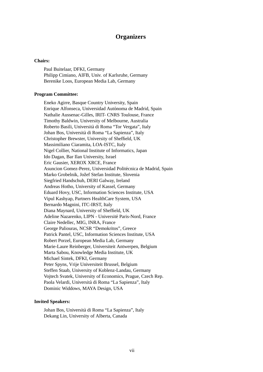## **Organizers**

### **Chairs:**

Paul Buitelaar, DFKI, Germany Philipp Cimiano, AIFB, Univ. of Karlsruhe, Germany Berenike Loos, European Media Lab, Germany

### **Program Committee:**

Eneko Agirre, Basque Country University, Spain Enrique Alfonseca, Universidad Autónoma de Madrid, Spain Nathalie Aussenac-Gilles, IRIT- CNRS Toulouse, France Timothy Baldwin, University of Melbourne, Australia Roberto Basili, Universita di Roma "Tor Vergata", Italy ` Johan Bos, Universita di Roma "La Sapienza", Italy ` Christopher Brewster, University of Sheffield, UK Massimiliano Ciaramita, LOA-ISTC, Italy Nigel Collier, National Institute of Informatics, Japan Ido Dagan, Bar Ilan University, Israel Eric Gausier, XEROX XRCE, France Asuncion Gomez-Perez, Universidad Politécnica de Madrid, Spain Marko Grobelnik, Jožef Stefan Institute, Slovenia Siegfried Handschuh, DERI Galway, Ireland Andreas Hotho, University of Kassel, Germany Eduard Hovy, USC, Information Sciences Institute, USA Vipul Kashyap, Partners HealthCare System, USA Bernardo Magnini, ITC-IRST, Italy Diana Maynard, University of Sheffield, UK Adeline Nazarenko, LIPN - Universite Paris-Nord, France ´ Claire Nedellec, MIG, INRA, France George Paliouras, NCSR "Demokritos", Greece Patrick Pantel, USC, Information Sciences Institute, USA Robert Porzel, European Media Lab, Germany Marie-Laure Reinberger, Universiteit Antwerpen, Belgium Marta Sabou, Knowledge Media Institute, UK Michael Sintek, DFKI, Germany Peter Spyns, Vrije Universiteit Brussel, Belgium Steffen Staab, University of Koblenz-Landau, Germany Vojtech Svatek, University of Economics, Prague, Czech Rep. Paola Velardi, Universita di Roma "La Sapienza", Italy ` Dominic Widdows, MAYA Design, USA

#### **Invited Speakers:**

Johan Bos, Universita di Roma "La Sapienza", Italy ` Dekang Lin, University of Alberta, Canada